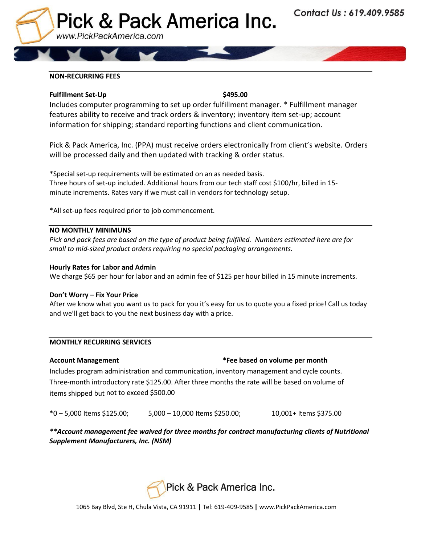

## **NON-RECURRING FEES**

## **Fulfillment Set-Up** \$495.00

Includes computer programming to set up order fulfillment manager. \* Fulfillment manager features ability to receive and track orders & inventory; inventory item set-up; account information for shipping; standard reporting functions and client communication.

Pick & Pack America, Inc. (PPA) must receive orders electronically from client's website. Orders will be processed daily and then updated with tracking & order status.

\*Special set-up requirements will be estimated on an as needed basis. Three hours of set-up included. Additional hours from our tech staff cost \$100/hr, billed in 15 minute increments. Rates vary if we must call in vendors for technology setup.

\*All set-up fees required prior to job commencement.

## **NO MONTHLY MINIMUNS**

*Pick and pack fees are based on the type of product being fulfilled. Numbers estimated here are for small to mid-sized product orders requiring no special packaging arrangements.*

## **Hourly Rates for Labor and Admin**

We charge \$65 per hour for labor and an admin fee of \$125 per hour billed in 15 minute increments.

## **Don't Worry – Fix Your Price**

After we know what you want us to pack for you it's easy for us to quote you a fixed price! Call us today and we'll get back to you the next business day with a price.

## **MONTHLY RECURRING SERVICES**

# **Account Management \*Fee based on volume per month**

Includes program administration and communication, inventory management and cycle counts. Three-month introductory rate \$125.00. After three months the rate will be based on volume of items shipped but not to exceed \$500.00

\*0 – 5,000 Items \$125.00; 5,000 – 10,000 Items \$250.00; 10,001+ Items \$375.00

*\*\*Account management fee waived for three months for contract manufacturing clients of Nutritional Supplement Manufacturers, Inc. (NSM)*